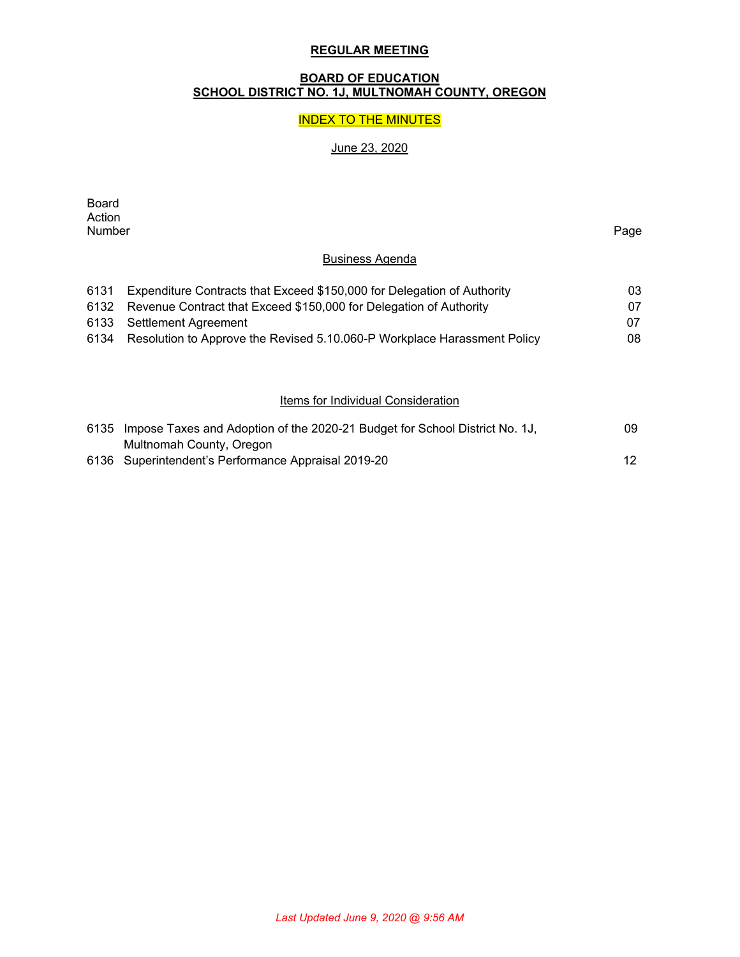#### **REGULAR MEETING**

#### **BOARD OF EDUCATION SCHOOL DISTRICT NO. 1J, MULTNOMAH COUNTY, OREGON**

#### INDEX TO THE MINUTES

# June 23, 2020

| Board  |      |
|--------|------|
| Action |      |
| Number | Page |

## Business Agenda

| 03  |
|-----|
| 07. |
| 07  |
| 08. |
|     |

## **Items for Individual Consideration**

| 6135 Impose Taxes and Adoption of the 2020-21 Budget for School District No. 1J, | 09              |
|----------------------------------------------------------------------------------|-----------------|
| Multnomah County, Oregon                                                         |                 |
| 6136 Superintendent's Performance Appraisal 2019-20                              | 12 <sup>°</sup> |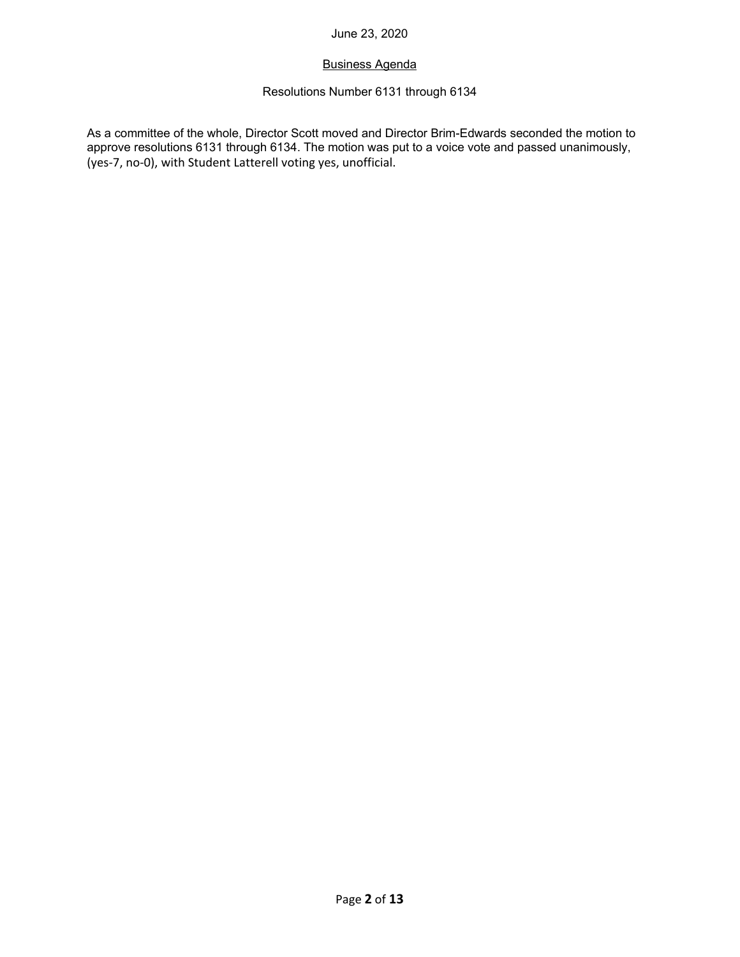## Business Agenda

# Resolutions Number 6131 through 6134

As a committee of the whole, Director Scott moved and Director Brim-Edwards seconded the motion to approve resolutions 6131 through 6134. The motion was put to a voice vote and passed unanimously, (yes‐7, no‐0), with Student Latterell voting yes, unofficial.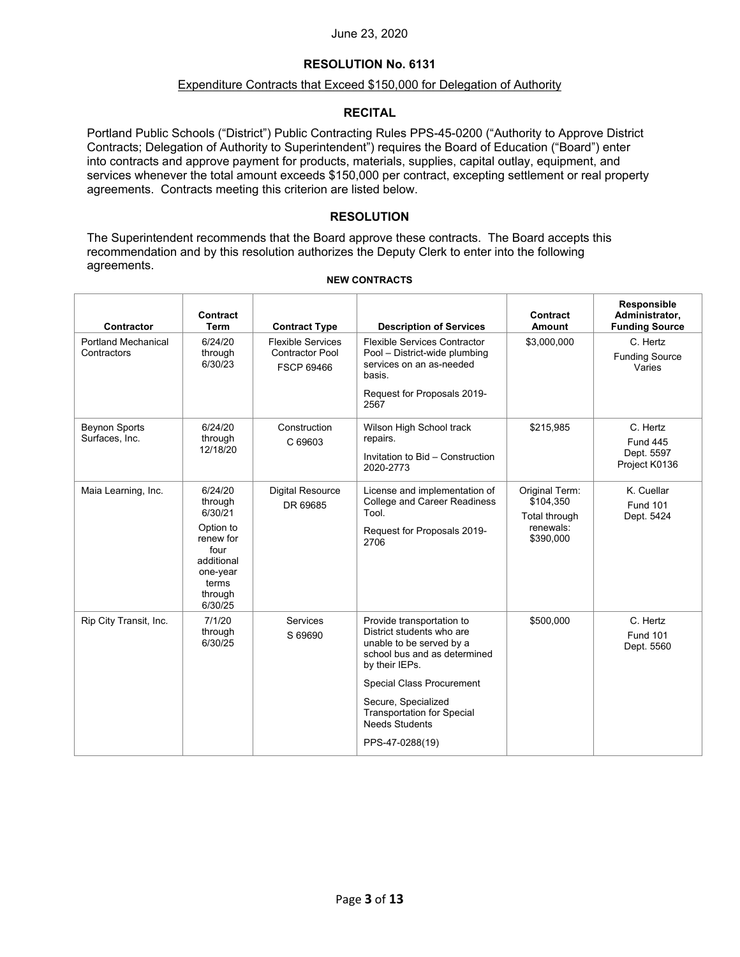#### **RESOLUTION No. 6131**

#### Expenditure Contracts that Exceed \$150,000 for Delegation of Authority

#### **RECITAL**

Portland Public Schools ("District") Public Contracting Rules PPS-45-0200 ("Authority to Approve District Contracts; Delegation of Authority to Superintendent") requires the Board of Education ("Board") enter into contracts and approve payment for products, materials, supplies, capital outlay, equipment, and services whenever the total amount exceeds \$150,000 per contract, excepting settlement or real property agreements. Contracts meeting this criterion are listed below.

#### **RESOLUTION**

The Superintendent recommends that the Board approve these contracts. The Board accepts this recommendation and by this resolution authorizes the Deputy Clerk to enter into the following agreements.

#### **NEW CONTRACTS**

| Contractor                                | Contract<br>Term                                                                                                         | <b>Contract Type</b>                                                    | <b>Description of Services</b>                                                                                                                                                                                                                                                   | Contract<br>Amount                                                     | Responsible<br>Administrator,<br><b>Funding Source</b>     |
|-------------------------------------------|--------------------------------------------------------------------------------------------------------------------------|-------------------------------------------------------------------------|----------------------------------------------------------------------------------------------------------------------------------------------------------------------------------------------------------------------------------------------------------------------------------|------------------------------------------------------------------------|------------------------------------------------------------|
| <b>Portland Mechanical</b><br>Contractors | 6/24/20<br>through<br>6/30/23                                                                                            | <b>Flexible Services</b><br><b>Contractor Pool</b><br><b>FSCP 69466</b> | <b>Flexible Services Contractor</b><br>Pool - District-wide plumbing<br>services on an as-needed<br>basis.<br>Request for Proposals 2019-<br>2567                                                                                                                                | \$3,000,000                                                            | C. Hertz<br><b>Funding Source</b><br>Varies                |
| <b>Beynon Sports</b><br>Surfaces, Inc.    | 6/24/20<br>through<br>12/18/20                                                                                           | Construction<br>C 69603                                                 | Wilson High School track<br>repairs.<br>Invitation to Bid - Construction<br>2020-2773                                                                                                                                                                                            | \$215.985                                                              | C. Hertz<br><b>Fund 445</b><br>Dept. 5597<br>Project K0136 |
| Maia Learning, Inc.                       | 6/24/20<br>through<br>6/30/21<br>Option to<br>renew for<br>four<br>additional<br>one-year<br>terms<br>through<br>6/30/25 | <b>Digital Resource</b><br>DR 69685                                     | License and implementation of<br><b>College and Career Readiness</b><br>Tool.<br>Request for Proposals 2019-<br>2706                                                                                                                                                             | Original Term:<br>\$104,350<br>Total through<br>renewals:<br>\$390,000 | K. Cuellar<br><b>Fund 101</b><br>Dept. 5424                |
| Rip City Transit, Inc.                    | 7/1/20<br>through<br>6/30/25                                                                                             | Services<br>S 69690                                                     | Provide transportation to<br>District students who are<br>unable to be served by a<br>school bus and as determined<br>by their IEPs.<br><b>Special Class Procurement</b><br>Secure, Specialized<br><b>Transportation for Special</b><br><b>Needs Students</b><br>PPS-47-0288(19) | \$500,000                                                              | C. Hertz<br><b>Fund 101</b><br>Dept. 5560                  |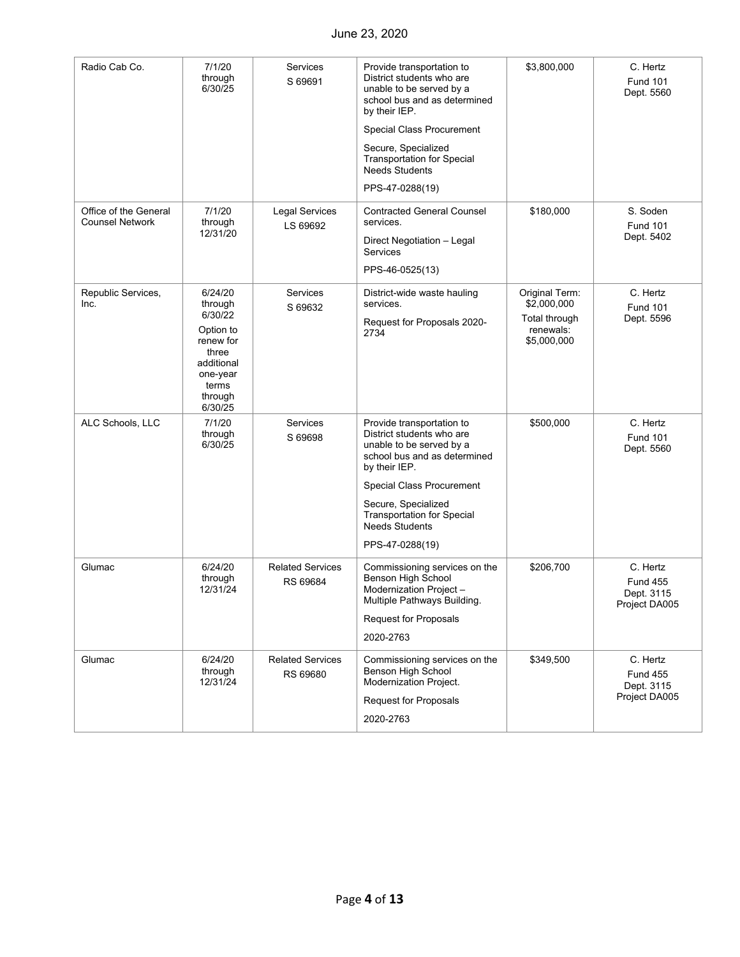| Radio Cab Co.                                   | 7/1/20                                                                                              | Services                            | Provide transportation to                                                                                                           | \$3,800,000                               | C. Hertz                                                   |
|-------------------------------------------------|-----------------------------------------------------------------------------------------------------|-------------------------------------|-------------------------------------------------------------------------------------------------------------------------------------|-------------------------------------------|------------------------------------------------------------|
|                                                 | through<br>6/30/25                                                                                  | S 69691                             | District students who are<br>unable to be served by a<br>school bus and as determined<br>by their IEP.                              |                                           | <b>Fund 101</b><br>Dept. 5560                              |
|                                                 |                                                                                                     |                                     | Special Class Procurement                                                                                                           |                                           |                                                            |
|                                                 |                                                                                                     |                                     | Secure, Specialized<br><b>Transportation for Special</b><br><b>Needs Students</b>                                                   |                                           |                                                            |
|                                                 |                                                                                                     |                                     | PPS-47-0288(19)                                                                                                                     |                                           |                                                            |
| Office of the General<br><b>Counsel Network</b> | 7/1/20<br>through                                                                                   | <b>Legal Services</b><br>LS 69692   | <b>Contracted General Counsel</b><br>services.                                                                                      | \$180,000                                 | S. Soden<br><b>Fund 101</b>                                |
|                                                 | 12/31/20                                                                                            |                                     | Direct Negotiation - Legal<br><b>Services</b>                                                                                       |                                           | Dept. 5402                                                 |
|                                                 |                                                                                                     |                                     | PPS-46-0525(13)                                                                                                                     |                                           |                                                            |
| Republic Services,<br>Inc.                      | 6/24/20<br>through                                                                                  | <b>Services</b><br>S 69632          | District-wide waste hauling<br>services.                                                                                            | Original Term:<br>\$2,000,000             | C. Hertz<br><b>Fund 101</b>                                |
|                                                 | 6/30/22<br>Option to<br>renew for<br>three<br>additional<br>one-year<br>terms<br>through<br>6/30/25 |                                     | Request for Proposals 2020-<br>2734                                                                                                 | Total through<br>renewals:<br>\$5,000,000 | Dept. 5596                                                 |
| ALC Schools, LLC                                | 7/1/20<br>through<br>6/30/25                                                                        | Services<br>S 69698                 | Provide transportation to<br>District students who are<br>unable to be served by a<br>school bus and as determined<br>by their IEP. | \$500,000                                 | C. Hertz<br><b>Fund 101</b><br>Dept. 5560                  |
|                                                 |                                                                                                     |                                     | Special Class Procurement                                                                                                           |                                           |                                                            |
|                                                 |                                                                                                     |                                     | Secure, Specialized<br><b>Transportation for Special</b><br><b>Needs Students</b>                                                   |                                           |                                                            |
|                                                 |                                                                                                     |                                     | PPS-47-0288(19)                                                                                                                     |                                           |                                                            |
| Glumac                                          | 6/24/20<br>through<br>12/31/24                                                                      | <b>Related Services</b><br>RS 69684 | Commissioning services on the<br>Benson High School<br>Modernization Project-<br>Multiple Pathways Building.                        | \$206,700                                 | C. Hertz<br><b>Fund 455</b><br>Dept. 3115<br>Project DA005 |
|                                                 |                                                                                                     |                                     | <b>Request for Proposals</b>                                                                                                        |                                           |                                                            |
|                                                 |                                                                                                     |                                     | 2020-2763                                                                                                                           |                                           |                                                            |
| Glumac                                          | 6/24/20<br>through<br>12/31/24                                                                      | <b>Related Services</b><br>RS 69680 | Commissioning services on the<br>Benson High School<br>Modernization Project.<br><b>Request for Proposals</b>                       | \$349,500                                 | C. Hertz<br><b>Fund 455</b><br>Dept. 3115<br>Project DA005 |
|                                                 |                                                                                                     |                                     | 2020-2763                                                                                                                           |                                           |                                                            |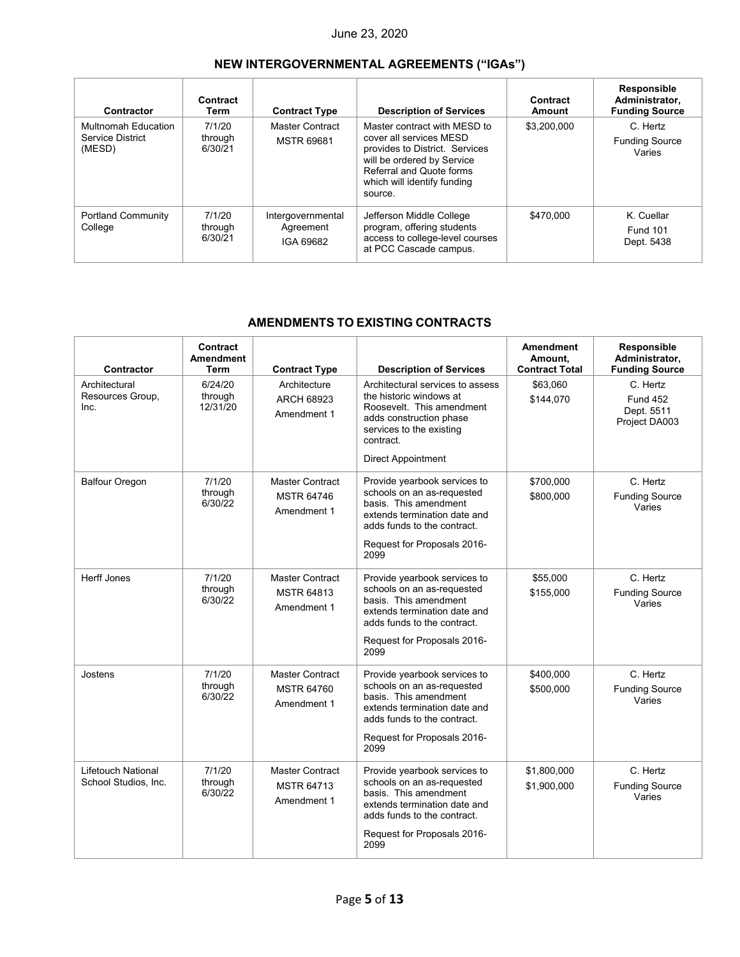# **NEW INTERGOVERNMENTAL AGREEMENTS ("IGAs")**

| Contractor                                                      | Contract<br>Term             | <b>Contract Type</b>                        | <b>Description of Services</b>                                                                                                                                                                | Contract<br>Amount | Responsible<br>Administrator,<br><b>Funding Source</b> |
|-----------------------------------------------------------------|------------------------------|---------------------------------------------|-----------------------------------------------------------------------------------------------------------------------------------------------------------------------------------------------|--------------------|--------------------------------------------------------|
| <b>Multnomah Education</b><br><b>Service District</b><br>(MESD) | 7/1/20<br>through<br>6/30/21 | Master Contract<br><b>MSTR 69681</b>        | Master contract with MESD to<br>cover all services MESD<br>provides to District. Services<br>will be ordered by Service<br>Referral and Quote forms<br>which will identify funding<br>source. | \$3,200,000        | C. Hertz<br><b>Funding Source</b><br>Varies            |
| <b>Portland Community</b><br>College                            | 7/1/20<br>through<br>6/30/21 | Intergovernmental<br>Agreement<br>IGA 69682 | Jefferson Middle College<br>program, offering students<br>access to college-level courses<br>at PCC Cascade campus.                                                                           | \$470,000          | K. Cuellar<br><b>Fund 101</b><br>Dept. 5438            |

## **AMENDMENTS TO EXISTING CONTRACTS**

| Contractor                                 | Contract<br><b>Amendment</b><br>Term | <b>Contract Type</b>                                       | <b>Description of Services</b>                                                                                                                                                            | <b>Amendment</b><br>Amount.<br><b>Contract Total</b> | Responsible<br>Administrator,<br><b>Funding Source</b>     |
|--------------------------------------------|--------------------------------------|------------------------------------------------------------|-------------------------------------------------------------------------------------------------------------------------------------------------------------------------------------------|------------------------------------------------------|------------------------------------------------------------|
| Architectural<br>Resources Group,<br>Inc.  | 6/24/20<br>through<br>12/31/20       | Architecture<br><b>ARCH 68923</b><br>Amendment 1           | Architectural services to assess<br>the historic windows at<br>Roosevelt. This amendment<br>adds construction phase<br>services to the existing<br>contract.<br><b>Direct Appointment</b> | \$63.060<br>\$144,070                                | C. Hertz<br><b>Fund 452</b><br>Dept. 5511<br>Project DA003 |
| <b>Balfour Oregon</b>                      | 7/1/20<br>through<br>6/30/22         | <b>Master Contract</b><br><b>MSTR 64746</b><br>Amendment 1 | Provide yearbook services to<br>schools on an as-requested<br>basis. This amendment<br>extends termination date and<br>adds funds to the contract.<br>Request for Proposals 2016-<br>2099 | \$700,000<br>\$800,000                               | C. Hertz<br><b>Funding Source</b><br>Varies                |
| <b>Herff Jones</b>                         | 7/1/20<br>through<br>6/30/22         | <b>Master Contract</b><br><b>MSTR 64813</b><br>Amendment 1 | Provide yearbook services to<br>schools on an as-requested<br>basis. This amendment<br>extends termination date and<br>adds funds to the contract.<br>Request for Proposals 2016-<br>2099 | \$55,000<br>\$155,000                                | C. Hertz<br><b>Funding Source</b><br>Varies                |
| Jostens                                    | 7/1/20<br>through<br>6/30/22         | <b>Master Contract</b><br><b>MSTR 64760</b><br>Amendment 1 | Provide yearbook services to<br>schools on an as-requested<br>basis. This amendment<br>extends termination date and<br>adds funds to the contract.<br>Request for Proposals 2016-<br>2099 | \$400,000<br>\$500,000                               | C. Hertz<br><b>Funding Source</b><br>Varies                |
| Lifetouch National<br>School Studios, Inc. | 7/1/20<br>through<br>6/30/22         | <b>Master Contract</b><br><b>MSTR 64713</b><br>Amendment 1 | Provide yearbook services to<br>schools on an as-requested<br>basis. This amendment<br>extends termination date and<br>adds funds to the contract.<br>Request for Proposals 2016-<br>2099 | \$1,800,000<br>\$1,900,000                           | C. Hertz<br><b>Funding Source</b><br>Varies                |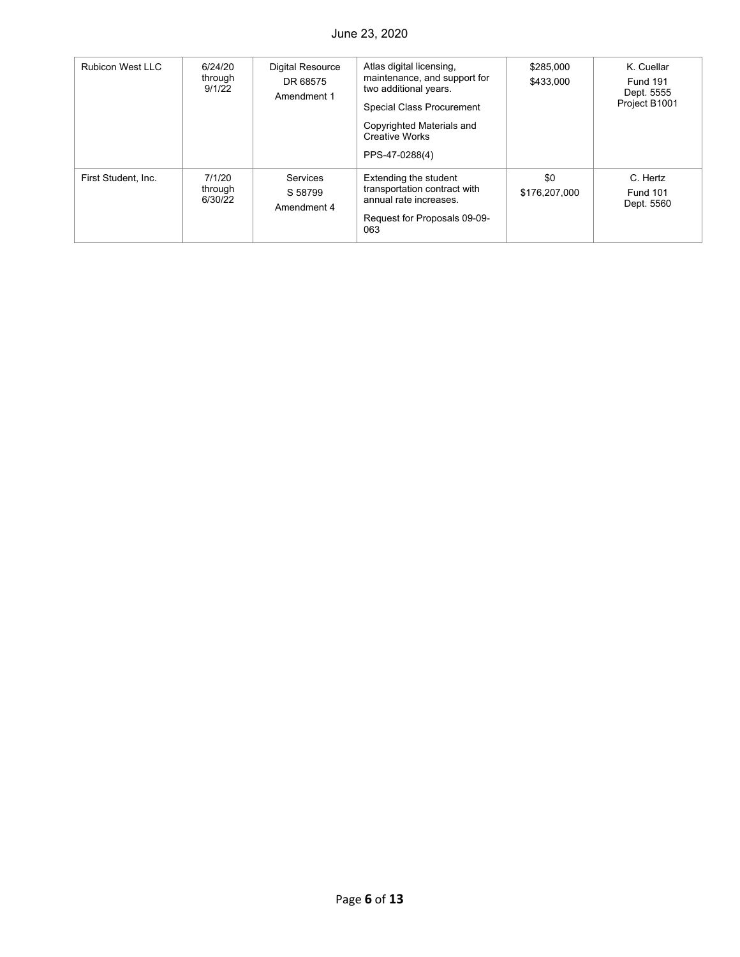| <b>Rubicon West LLC</b> | 6/24/20<br>through<br>9/1/22 | <b>Digital Resource</b><br>DR 68575<br>Amendment 1 | Atlas digital licensing,<br>maintenance, and support for<br>two additional years.<br>Special Class Procurement<br>Copyrighted Materials and<br><b>Creative Works</b><br>PPS-47-0288(4) | \$285,000<br>\$433,000 | K. Cuellar<br><b>Fund 191</b><br>Dept. 5555<br>Project B1001 |
|-------------------------|------------------------------|----------------------------------------------------|----------------------------------------------------------------------------------------------------------------------------------------------------------------------------------------|------------------------|--------------------------------------------------------------|
| First Student, Inc.     | 7/1/20<br>through<br>6/30/22 | Services<br>S 58799<br>Amendment 4                 | Extending the student<br>transportation contract with<br>annual rate increases.<br>Request for Proposals 09-09-<br>063                                                                 | \$0<br>\$176,207,000   | C. Hertz<br><b>Fund 101</b><br>Dept. 5560                    |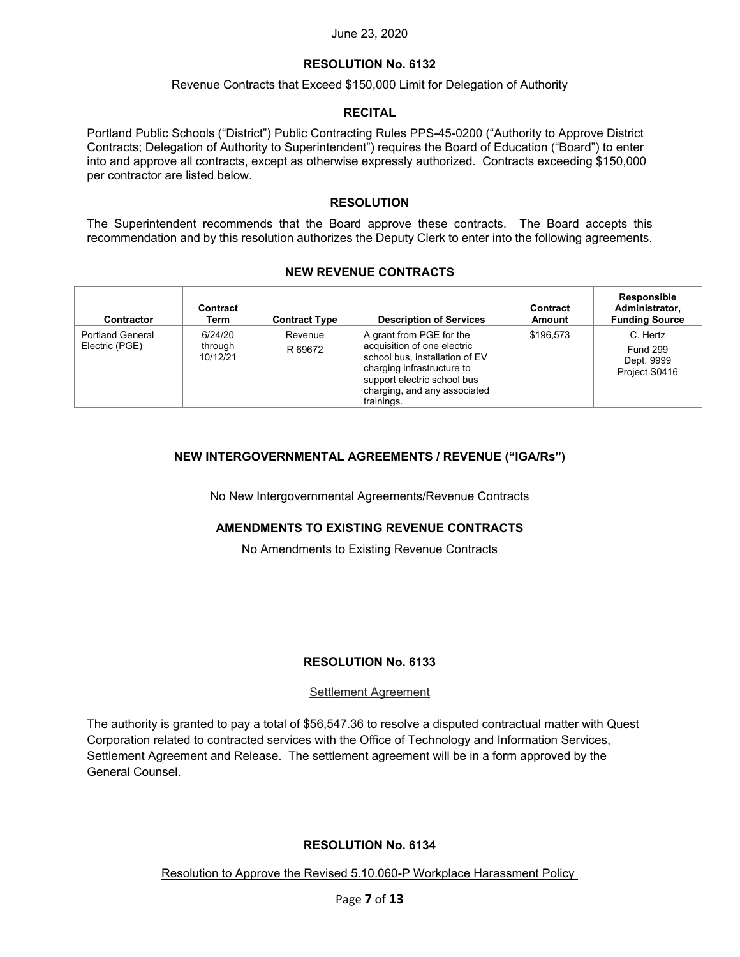#### **RESOLUTION No. 6132**

#### Revenue Contracts that Exceed \$150,000 Limit for Delegation of Authority

#### **RECITAL**

Portland Public Schools ("District") Public Contracting Rules PPS-45-0200 ("Authority to Approve District Contracts; Delegation of Authority to Superintendent") requires the Board of Education ("Board") to enter into and approve all contracts, except as otherwise expressly authorized. Contracts exceeding \$150,000 per contractor are listed below.

#### **RESOLUTION**

The Superintendent recommends that the Board approve these contracts. The Board accepts this recommendation and by this resolution authorizes the Deputy Clerk to enter into the following agreements.

#### **NEW REVENUE CONTRACTS**

| Contractor                                | Contract<br>Term               | <b>Contract Type</b> | <b>Description of Services</b>                                                                                                                                                                       | Contract<br>Amount | Responsible<br>Administrator.<br><b>Funding Source</b>     |
|-------------------------------------------|--------------------------------|----------------------|------------------------------------------------------------------------------------------------------------------------------------------------------------------------------------------------------|--------------------|------------------------------------------------------------|
| <b>Portland General</b><br>Electric (PGE) | 6/24/20<br>through<br>10/12/21 | Revenue<br>R 69672   | A grant from PGE for the<br>acquisition of one electric<br>school bus, installation of EV<br>charging infrastructure to<br>support electric school bus<br>charging, and any associated<br>trainings. | \$196.573          | C. Hertz<br><b>Fund 299</b><br>Dept. 9999<br>Project S0416 |

## **NEW INTERGOVERNMENTAL AGREEMENTS / REVENUE ("IGA/Rs")**

No New Intergovernmental Agreements/Revenue Contracts

#### **AMENDMENTS TO EXISTING REVENUE CONTRACTS**

No Amendments to Existing Revenue Contracts

#### **RESOLUTION No. 6133**

#### Settlement Agreement

The authority is granted to pay a total of \$56,547.36 to resolve a disputed contractual matter with Quest Corporation related to contracted services with the Office of Technology and Information Services, Settlement Agreement and Release. The settlement agreement will be in a form approved by the General Counsel.

#### **RESOLUTION No. 6134**

Resolution to Approve the Revised 5.10.060-P Workplace Harassment Policy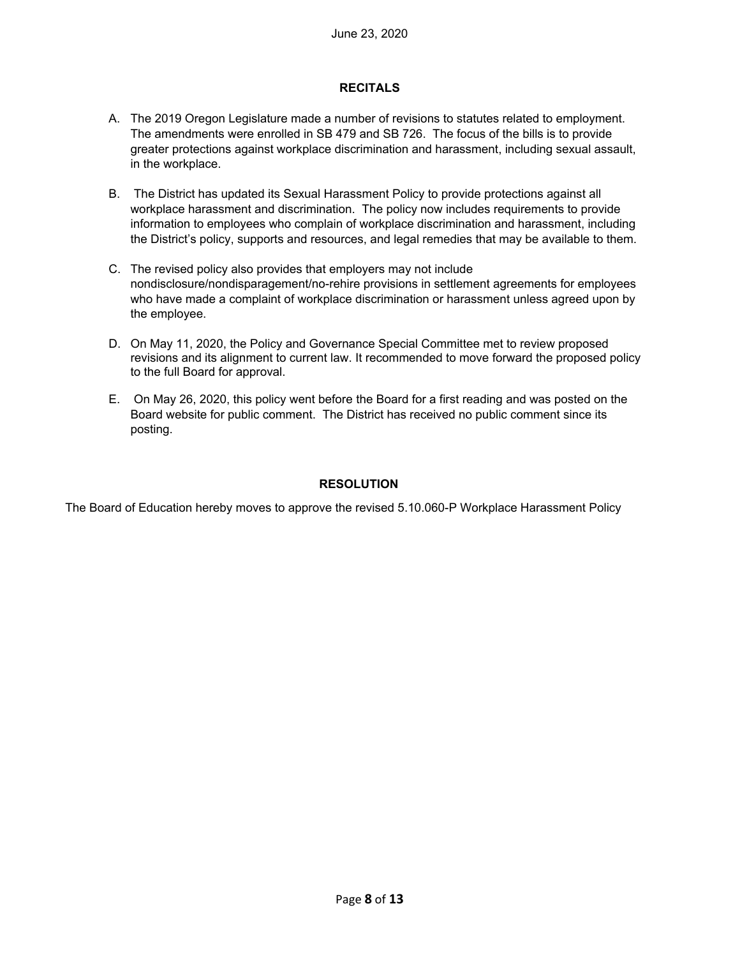#### **RECITALS**

- A. The 2019 Oregon Legislature made a number of revisions to statutes related to employment. The amendments were enrolled in SB 479 and SB 726. The focus of the bills is to provide greater protections against workplace discrimination and harassment, including sexual assault, in the workplace.
- B. The District has updated its Sexual Harassment Policy to provide protections against all workplace harassment and discrimination. The policy now includes requirements to provide information to employees who complain of workplace discrimination and harassment, including the District's policy, supports and resources, and legal remedies that may be available to them.
- C. The revised policy also provides that employers may not include nondisclosure/nondisparagement/no-rehire provisions in settlement agreements for employees who have made a complaint of workplace discrimination or harassment unless agreed upon by the employee.
- D. On May 11, 2020, the Policy and Governance Special Committee met to review proposed revisions and its alignment to current law. It recommended to move forward the proposed policy to the full Board for approval.
- E. On May 26, 2020, this policy went before the Board for a first reading and was posted on the Board website for public comment. The District has received no public comment since its posting.

#### **RESOLUTION**

The Board of Education hereby moves to approve the revised 5.10.060-P Workplace Harassment Policy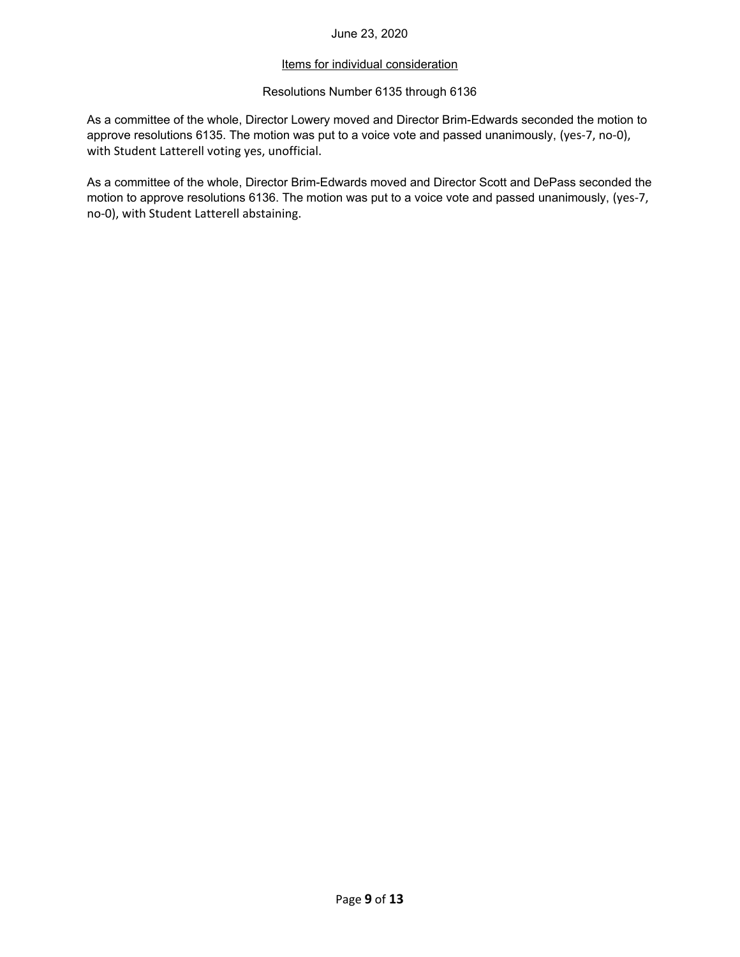#### Items for individual consideration

#### Resolutions Number 6135 through 6136

As a committee of the whole, Director Lowery moved and Director Brim-Edwards seconded the motion to approve resolutions 6135. The motion was put to a voice vote and passed unanimously, (yes-7, no-0), with Student Latterell voting yes, unofficial.

As a committee of the whole, Director Brim-Edwards moved and Director Scott and DePass seconded the motion to approve resolutions 6136. The motion was put to a voice vote and passed unanimously, (yes‐7, no‐0), with Student Latterell abstaining.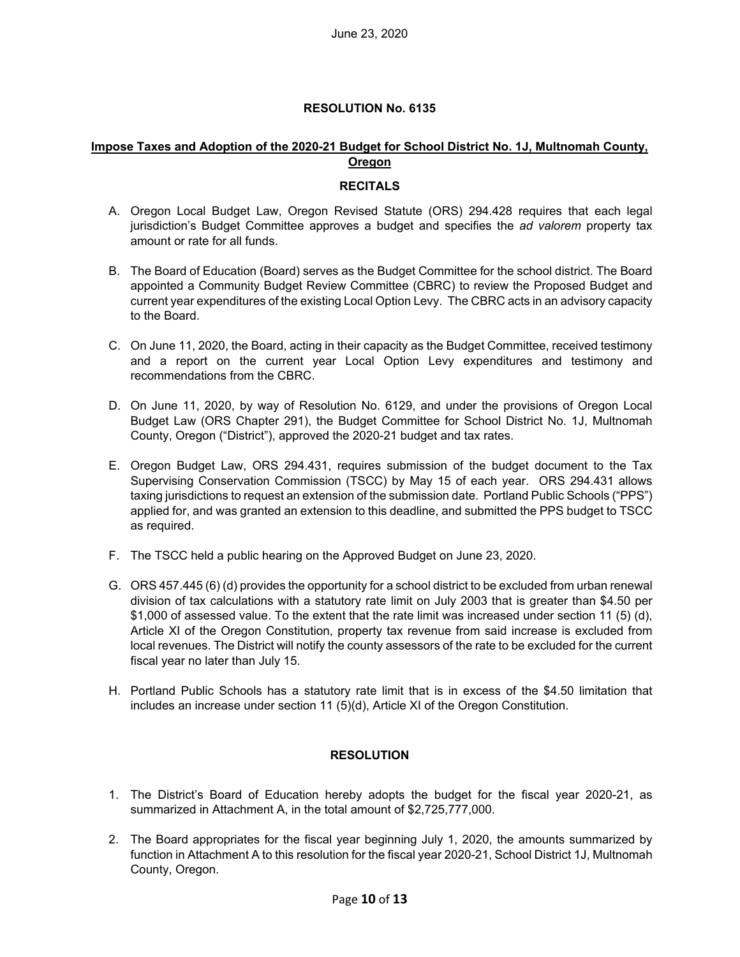#### **RESOLUTION No. 6135**

#### **Impose Taxes and Adoption of the 2020-21 Budget for School District No. 1J, Multnomah County, Oregon**

#### **RECITALS**

- A. Oregon Local Budget Law, Oregon Revised Statute (ORS) 294.428 requires that each legal jurisdiction's Budget Committee approves a budget and specifies the *ad valorem* property tax amount or rate for all funds.
- B. The Board of Education (Board) serves as the Budget Committee for the school district. The Board appointed a Community Budget Review Committee (CBRC) to review the Proposed Budget and current year expenditures of the existing Local Option Levy. The CBRC acts in an advisory capacity to the Board.
- C. On June 11, 2020, the Board, acting in their capacity as the Budget Committee, received testimony and a report on the current year Local Option Levy expenditures and testimony and recommendations from the CBRC.
- D. On June 11, 2020, by way of Resolution No. 6129, and under the provisions of Oregon Local Budget Law (ORS Chapter 291), the Budget Committee for School District No. 1J, Multnomah County, Oregon ("District"), approved the 2020-21 budget and tax rates.
- E. Oregon Budget Law, ORS 294.431, requires submission of the budget document to the Tax Supervising Conservation Commission (TSCC) by May 15 of each year. ORS 294.431 allows taxing jurisdictions to request an extension of the submission date. Portland Public Schools ("PPS") applied for, and was granted an extension to this deadline, and submitted the PPS budget to TSCC as required.
- F. The TSCC held a public hearing on the Approved Budget on June 23, 2020.
- G. ORS 457.445 (6) (d) provides the opportunity for a school district to be excluded from urban renewal division of tax calculations with a statutory rate limit on July 2003 that is greater than \$4.50 per \$1,000 of assessed value. To the extent that the rate limit was increased under section 11 (5) (d), Article XI of the Oregon Constitution, property tax revenue from said increase is excluded from local revenues. The District will notify the county assessors of the rate to be excluded for the current fiscal year no later than July 15.
- H. Portland Public Schools has a statutory rate limit that is in excess of the \$4.50 limitation that includes an increase under section 11 (5)(d), Article XI of the Oregon Constitution.

#### **RESOLUTION**

- 1. The District's Board of Education hereby adopts the budget for the fiscal year 2020-21, as summarized in Attachment A, in the total amount of \$2,725,777,000.
- 2. The Board appropriates for the fiscal year beginning July 1, 2020, the amounts summarized by function in Attachment A to this resolution for the fiscal year 2020-21, School District 1J, Multnomah County, Oregon.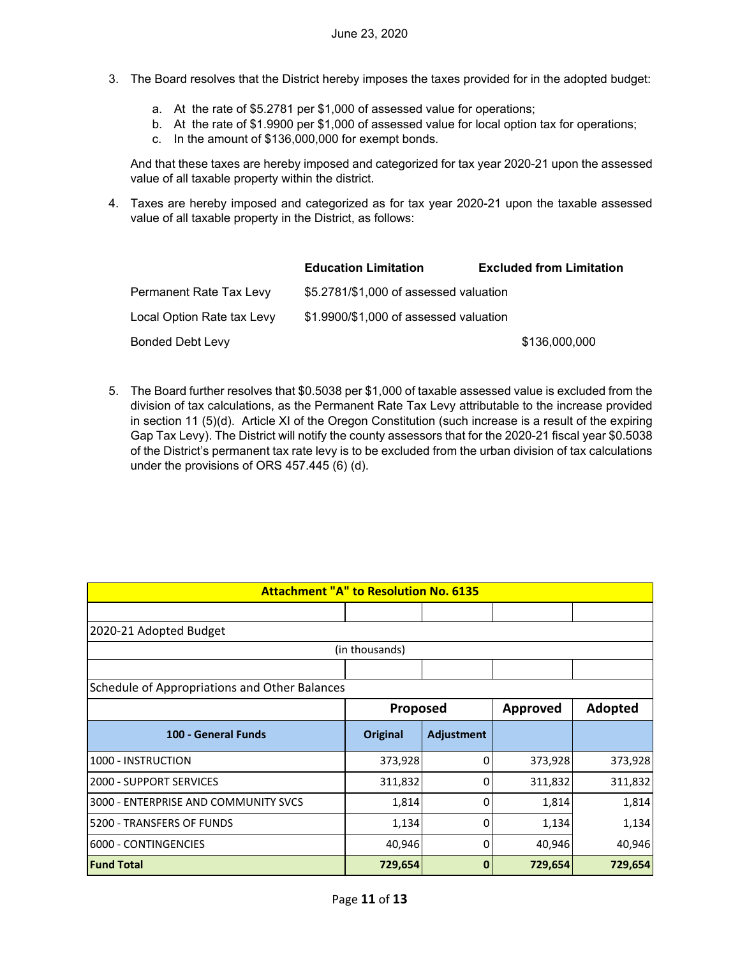- 3. The Board resolves that the District hereby imposes the taxes provided for in the adopted budget:
	- a. At the rate of \$5.2781 per \$1,000 of assessed value for operations;
	- b. At the rate of \$1.9900 per \$1,000 of assessed value for local option tax for operations;
	- c. In the amount of \$136,000,000 for exempt bonds.

And that these taxes are hereby imposed and categorized for tax year 2020-21 upon the assessed value of all taxable property within the district.

4. Taxes are hereby imposed and categorized as for tax year 2020-21 upon the taxable assessed value of all taxable property in the District, as follows:

|                            | <b>Education Limitation</b>            | <b>Excluded from Limitation</b> |
|----------------------------|----------------------------------------|---------------------------------|
| Permanent Rate Tax Levy    | \$5.2781/\$1,000 of assessed valuation |                                 |
| Local Option Rate tax Levy | \$1.9900/\$1,000 of assessed valuation |                                 |
| <b>Bonded Debt Levy</b>    |                                        | \$136,000,000                   |

5. The Board further resolves that \$0.5038 per \$1,000 of taxable assessed value is excluded from the division of tax calculations, as the Permanent Rate Tax Levy attributable to the increase provided in section 11 (5)(d). Article XI of the Oregon Constitution (such increase is a result of the expiring Gap Tax Levy). The District will notify the county assessors that for the 2020-21 fiscal year \$0.5038 of the District's permanent tax rate levy is to be excluded from the urban division of tax calculations under the provisions of ORS 457.445 (6) (d).

| <b>Attachment "A" to Resolution No. 6135</b>  |                |            |          |         |
|-----------------------------------------------|----------------|------------|----------|---------|
|                                               |                |            |          |         |
| 2020-21 Adopted Budget                        |                |            |          |         |
|                                               | (in thousands) |            |          |         |
|                                               |                |            |          |         |
| Schedule of Appropriations and Other Balances |                |            |          |         |
|                                               | Proposed       |            | Approved | Adopted |
| 100 - General Funds                           | Original       | Adjustment |          |         |
| 1000 - INSTRUCTION                            | 373,928        | 0          | 373,928  | 373,928 |
| <b>2000 - SUPPORT SERVICES</b>                | 311,832        | 0          | 311,832  | 311,832 |
| 3000 - ENTERPRISE AND COMMUNITY SVCS          | 1,814          | 0          | 1,814    | 1,814   |
| 5200 - TRANSFERS OF FUNDS                     | 1,134          | 0          | 1,134    | 1,134   |
| 6000 - CONTINGENCIES                          | 40,946         | 0          | 40,946   | 40,946  |
| <b>Fund Total</b>                             | 729,654        | $\bf{0}$   | 729,654  | 729,654 |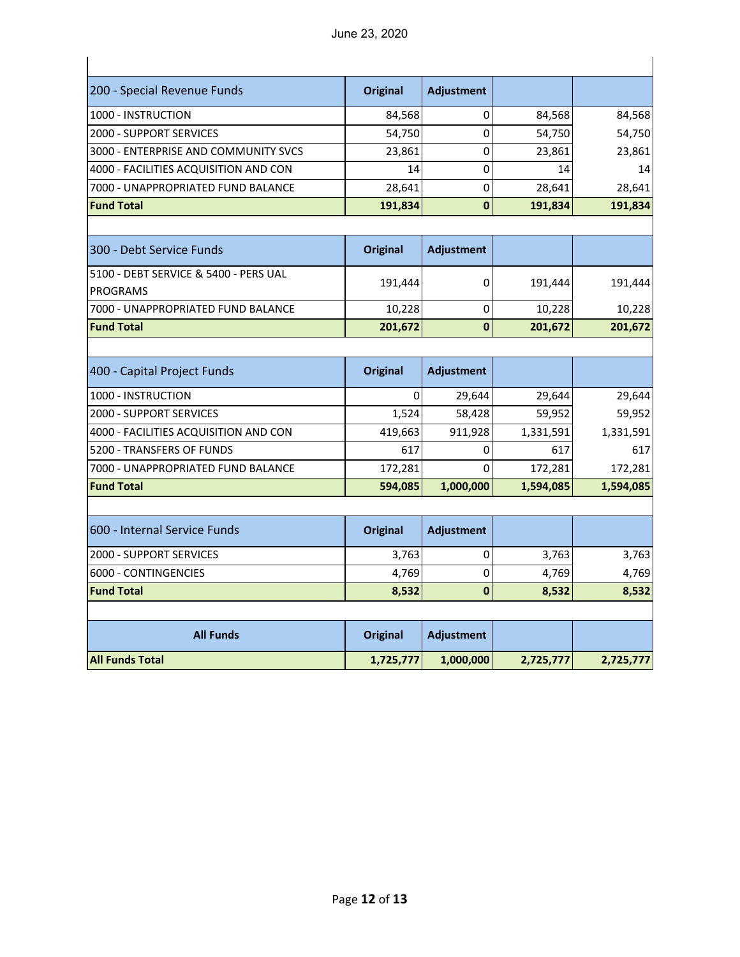| 200 - Special Revenue Funds                              | <b>Original</b> | <b>Adjustment</b> |           |           |
|----------------------------------------------------------|-----------------|-------------------|-----------|-----------|
| 1000 - INSTRUCTION                                       | 84,568          | 0                 | 84,568    | 84,568    |
| 2000 - SUPPORT SERVICES                                  | 54,750          | 0                 | 54,750    | 54,750    |
| 3000 - ENTERPRISE AND COMMUNITY SVCS                     | 23,861          | $\pmb{0}$         | 23,861    | 23,861    |
| 4000 - FACILITIES ACQUISITION AND CON                    | 14              | 0                 | 14        | 14        |
| 7000 - UNAPPROPRIATED FUND BALANCE                       | 28,641          | 0                 | 28,641    | 28,641    |
| <b>Fund Total</b>                                        | 191,834         | $\bf{0}$          | 191,834   | 191,834   |
|                                                          |                 |                   |           |           |
| 300 - Debt Service Funds                                 | <b>Original</b> | <b>Adjustment</b> |           |           |
| 5100 - DEBT SERVICE & 5400 - PERS UAL<br><b>PROGRAMS</b> | 191,444         | 0                 | 191,444   | 191,444   |
| 7000 - UNAPPROPRIATED FUND BALANCE                       | 10,228          | 0                 | 10,228    | 10,228    |
| <b>Fund Total</b>                                        | 201,672         | $\bf{0}$          | 201,672   | 201,672   |
|                                                          |                 |                   |           |           |
| 400 - Capital Project Funds                              | <b>Original</b> | <b>Adjustment</b> |           |           |
|                                                          |                 |                   |           |           |
| 1000 - INSTRUCTION                                       | $\mathbf 0$     | 29,644            | 29,644    | 29,644    |
| <b>2000 - SUPPORT SERVICES</b>                           | 1,524           | 58,428            | 59,952    | 59,952    |
| 4000 - FACILITIES ACQUISITION AND CON                    | 419,663         | 911,928           | 1,331,591 | 1,331,591 |
| 5200 - TRANSFERS OF FUNDS                                | 617             | 0                 | 617       | 617       |
| 7000 - UNAPPROPRIATED FUND BALANCE                       | 172,281         | $\Omega$          | 172,281   | 172,281   |
| <b>Fund Total</b>                                        | 594,085         | 1,000,000         | 1,594,085 | 1,594,085 |
|                                                          |                 |                   |           |           |
| 600 - Internal Service Funds                             | <b>Original</b> | <b>Adjustment</b> |           |           |
| <b>2000 - SUPPORT SERVICES</b>                           | 3,763           | 0                 | 3,763     | 3,763     |
| 6000 - CONTINGENCIES                                     | 4,769           | 0                 | 4,769     | 4,769     |
| <b>Fund Total</b>                                        | 8,532           | $\bf{0}$          | 8,532     | 8,532     |
|                                                          |                 |                   |           |           |
| <b>All Funds</b>                                         | <b>Original</b> | <b>Adjustment</b> |           |           |